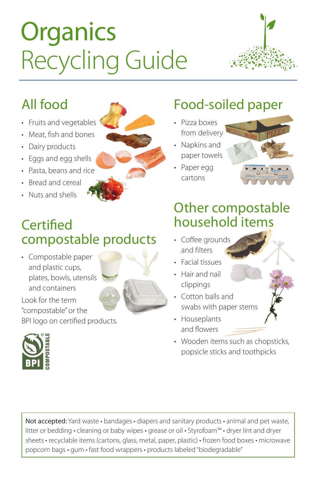# **Organics** Recycling Guide



### All food

- Fruits and vegetables
- Meat, fish and bones
- Dairy products
- Eggs and egg shells
- Pasta, beans and rice
- Bread and cereal
- Nuts and shells

**Certified** 



#### Food-soiled paper

- Pizza boxes from delivery
- Napkins and paper towels
- Paper egg cartons



#### Other compostable household items

- Coffee arounds and filters
- Facial tissues
- Hair and nail clippings
- Cotton balls and swabs with paper stems
- Houseplants and flowers
- Wooden items such as chopsticks, popsicle sticks and toothpicks



compostable products

Look for the term "compostable" or the BPI logo on certified products.



Not accepted: Yard waste • bandages • diapers and sanitary products • animal and pet waste, litter or bedding • cleaning or baby wipes • grease or oil • Styrofoam™ • dryer lint and dryer sheets • recyclable items (cartons, glass, metal, paper, plastic) • frozen food boxes • microwave popcorn bags • gum • fast food wrappers • products labeled "biodegradable"